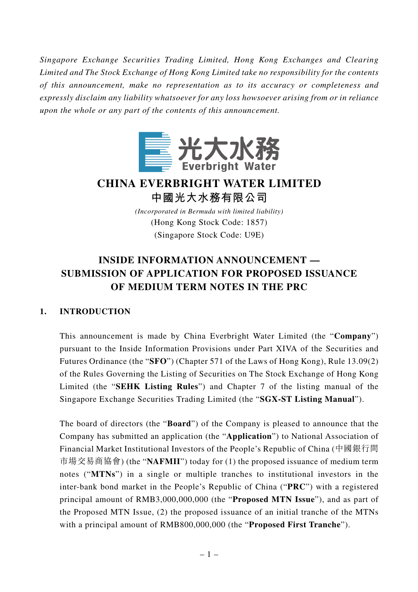*Singapore Exchange Securities Trading Limited, Hong Kong Exchanges and Clearing Limited and The Stock Exchange of Hong Kong Limited take no responsibility for the contents of this announcement, make no representation as to its accuracy or completeness and expressly disclaim any liability whatsoever for any loss howsoever arising from or in reliance upon the whole or any part of the contents of this announcement.*



# **CHINA EVERBRIGHT WATER LIMITED 中國光大水務有限公司**

*(Incorporated in Bermuda with limited liability)* (Hong Kong Stock Code: 1857) (Singapore Stock Code: U9E)

## **INSIDE INFORMATION ANNOUNCEMENT — SUBMISSION OF APPLICATION FOR PROPOSED ISSUANCE OF MEDIUM TERM NOTES IN THE PRC**

### **1. INTRODUCTION**

This announcement is made by China Everbright Water Limited (the "**Company**") pursuant to the Inside Information Provisions under Part XIVA of the Securities and Futures Ordinance (the "**SFO**") (Chapter 571 of the Laws of Hong Kong), Rule 13.09(2) of the Rules Governing the Listing of Securities on The Stock Exchange of Hong Kong Limited (the "**SEHK Listing Rules**") and Chapter 7 of the listing manual of the Singapore Exchange Securities Trading Limited (the "**SGX-ST Listing Manual**").

The board of directors (the "**Board**") of the Company is pleased to announce that the Company has submitted an application (the "**Application**") to National Association of Financial Market Institutional Investors of the People's Republic of China (中國銀行間 市場交易商協會) (the "**NAFMII**") today for (1) the proposed issuance of medium term notes ("**MTNs**") in a single or multiple tranches to institutional investors in the inter-bank bond market in the People's Republic of China ("**PRC**") with a registered principal amount of RMB3,000,000,000 (the "**Proposed MTN Issue**"), and as part of the Proposed MTN Issue, (2) the proposed issuance of an initial tranche of the MTNs with a principal amount of RMB800,000,000 (the "**Proposed First Tranche**").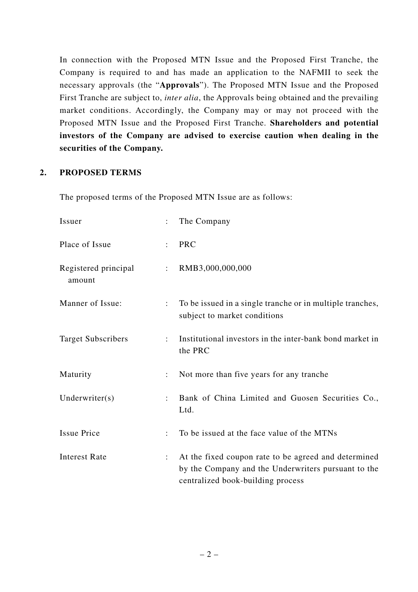In connection with the Proposed MTN Issue and the Proposed First Tranche, the Company is required to and has made an application to the NAFMII to seek the necessary approvals (the "**Approvals**"). The Proposed MTN Issue and the Proposed First Tranche are subject to, *inter alia*, the Approvals being obtained and the prevailing market conditions. Accordingly, the Company may or may not proceed with the Proposed MTN Issue and the Proposed First Tranche. **Shareholders and potential investors of the Company are advised to exercise caution when dealing in the securities of the Company.**

#### **2. PROPOSED TERMS**

The proposed terms of the Proposed MTN Issue are as follows:

| Issuer                         |                      | The Company                                                                                                                                      |
|--------------------------------|----------------------|--------------------------------------------------------------------------------------------------------------------------------------------------|
| Place of Issue                 | ÷                    | <b>PRC</b>                                                                                                                                       |
| Registered principal<br>amount | $\ddot{\phantom{a}}$ | RMB3,000,000,000                                                                                                                                 |
| Manner of Issue:               |                      | To be issued in a single tranche or in multiple tranches,<br>subject to market conditions                                                        |
| <b>Target Subscribers</b>      |                      | Institutional investors in the inter-bank bond market in<br>the PRC                                                                              |
| Maturity                       |                      | Not more than five years for any tranche                                                                                                         |
| Underwriter $(s)$              |                      | Bank of China Limited and Guosen Securities Co.,<br>Ltd.                                                                                         |
| <b>Issue Price</b>             | ÷                    | To be issued at the face value of the MTNs                                                                                                       |
| <b>Interest Rate</b>           |                      | At the fixed coupon rate to be agreed and determined<br>by the Company and the Underwriters pursuant to the<br>centralized book-building process |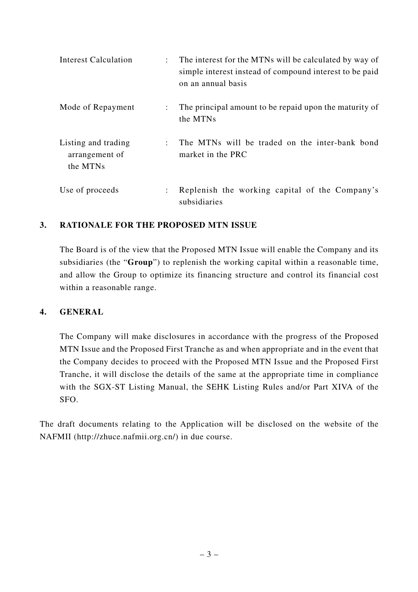| <b>Interest Calculation</b>                       |                      | The interest for the MTNs will be calculated by way of<br>simple interest instead of compound interest to be paid<br>on an annual basis |
|---------------------------------------------------|----------------------|-----------------------------------------------------------------------------------------------------------------------------------------|
| Mode of Repayment                                 | $\ddot{\phantom{0}}$ | The principal amount to be repaid upon the maturity of<br>the MTNs                                                                      |
| Listing and trading<br>arrangement of<br>the MTNs |                      | The MTNs will be traded on the inter-bank bond<br>market in the PRC                                                                     |
| Use of proceeds                                   | ÷                    | Replenish the working capital of the Company's<br>subsidiaries                                                                          |

#### **3. RATIONALE FOR THE PROPOSED MTN ISSUE**

The Board is of the view that the Proposed MTN Issue will enable the Company and its subsidiaries (the "**Group**") to replenish the working capital within a reasonable time, and allow the Group to optimize its financing structure and control its financial cost within a reasonable range.

#### **4. GENERAL**

The Company will make disclosures in accordance with the progress of the Proposed MTN Issue and the Proposed First Tranche as and when appropriate and in the event that the Company decides to proceed with the Proposed MTN Issue and the Proposed First Tranche, it will disclose the details of the same at the appropriate time in compliance with the SGX-ST Listing Manual, the SEHK Listing Rules and/or Part XIVA of the SFO.

The draft documents relating to the Application will be disclosed on the website of the NAFMII (http://zhuce.nafmii.org.cn/) in due course.